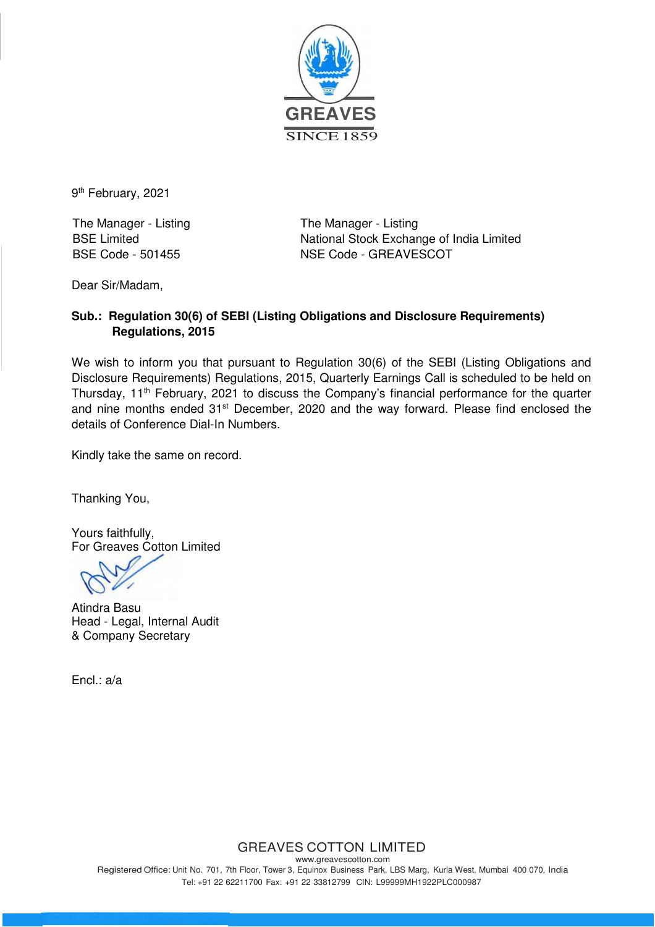

9<sup>th</sup> February, 2021

The Manager - Listing The Manager - Listing

BSE Limited National Stock Exchange of India Limited BSE Code - 501455 NSE Code - GREAVESCOT

Dear Sir/Madam,

#### **Sub.: Regulation 30(6) of SEBI (Listing Obligations and Disclosure Requirements) Regulations, 2015**

We wish to inform you that pursuant to Regulation 30(6) of the SEBI (Listing Obligations and Disclosure Requirements) Regulations, 2015, Quarterly Earnings Call is scheduled to be held on Thursday, 11<sup>th</sup> February, 2021 to discuss the Company's financial performance for the quarter and nine months ended 31<sup>st</sup> December, 2020 and the way forward. Please find enclosed the details of Conference Dial-In Numbers.

Kindly take the same on record.

Thanking You,

Yours faithfully, For Greaves Cotton Limited

Atindra Basu Head - Legal, Internal Audit & Company Secretary

Encl.: a/a

## GREAVES COTTON LIMITED

www.greavescotton.com Registered Office: Unit No. 701, 7th Floor, Tower 3, Equinox Business Park, LBS Marg, Kurla West, Mumbai 400 070, India Tel: +91 22 62211700 Fax: +91 22 33812799 CIN: L99999MH1922PLC000987